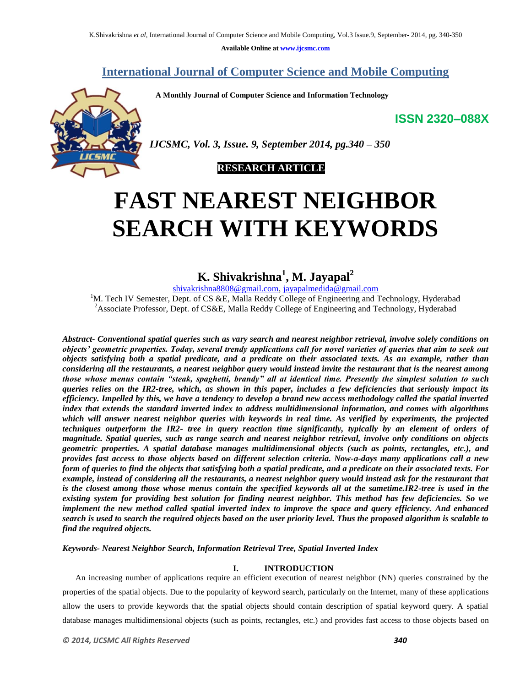**Available Online at www.ijcsmc.com**

**International Journal of Computer Science and Mobile Computing**

 **A Monthly Journal of Computer Science and Information Technology**

**ISSN 2320–088X**



*IJCSMC, Vol. 3, Issue. 9, September 2014, pg.340 – 350*

## **RESEARCH ARTICLE**

# **FAST NEAREST NEIGHBOR SEARCH WITH KEYWORDS**

# **K. Shivakrishna<sup>1</sup> , M. Jayapal<sup>2</sup>**

shivakrishna8808@gmail.com, jayapalmedida@gmail.com

<sup>1</sup>M. Tech IV Semester, Dept. of CS & E, Malla Reddy College of Engineering and Technology, Hyderabad <sup>2</sup>Associate Professor, Dept. of CS&E, Malla Reddy College of Engineering and Technology, Hyderabad

*Abstract- Conventional spatial queries such as vary search and nearest neighbor retrieval, involve solely conditions on objects' geometric properties. Today, several trendy applications call for novel varieties of queries that aim to seek out objects satisfying both a spatial predicate, and a predicate on their associated texts. As an example, rather than considering all the restaurants, a nearest neighbor query would instead invite the restaurant that is the nearest among those whose menus contain "steak, spaghetti, brandy" all at identical time. Presently the simplest solution to such queries relies on the IR2-tree, which, as shown in this paper, includes a few deficiencies that seriously impact its efficiency. Impelled by this, we have a tendency to develop a brand new access methodology called the spatial inverted index that extends the standard inverted index to address multidimensional information, and comes with algorithms which will answer nearest neighbor queries with keywords in real time. As verified by experiments, the projected techniques outperform the IR2- tree in query reaction time significantly, typically by an element of orders of magnitude. Spatial queries, such as range search and nearest neighbor retrieval, involve only conditions on objects geometric properties. A spatial database manages multidimensional objects (such as points, rectangles, etc.), and provides fast access to those objects based on different selection criteria. Now-a-days many applications call a new form of queries to find the objects that satisfying both a spatial predicate, and a predicate on their associated texts. For example, instead of considering all the restaurants, a nearest neighbor query would instead ask for the restaurant that*  is the closest among those whose menus contain the specified keywords all at the sametime.IR2-tree is used in the *existing system for providing best solution for finding nearest neighbor. This method has few deficiencies. So we implement the new method called spatial inverted index to improve the space and query efficiency. And enhanced search is used to search the required objects based on the user priority level. Thus the proposed algorithm is scalable to find the required objects.*

*Keywords- Nearest Neighbor Search, Information Retrieval Tree, Spatial Inverted Index*

## **I. INTRODUCTION**

An increasing number of applications require an efficient execution of nearest neighbor (NN) queries constrained by the properties of the spatial objects. Due to the popularity of keyword search, particularly on the Internet, many of these applications allow the users to provide keywords that the spatial objects should contain description of spatial keyword query. A spatial database manages multidimensional objects (such as points, rectangles, etc.) and provides fast access to those objects based on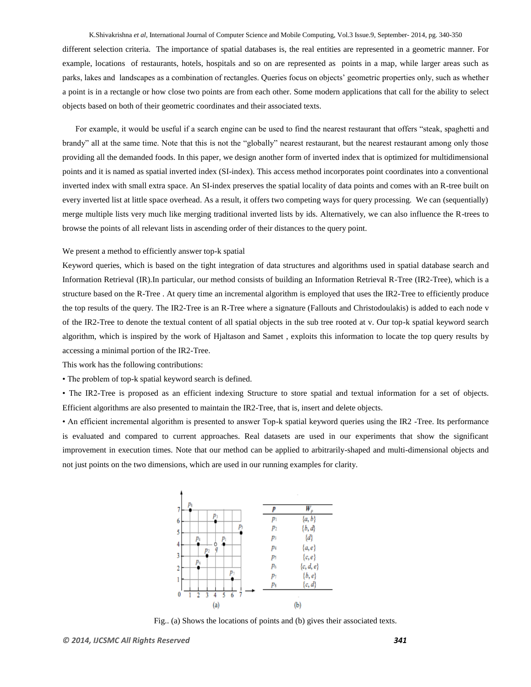#### K.Shivakrishna *et al*, International Journal of Computer Science and Mobile Computing, Vol.3 Issue.9, September- 2014, pg. 340-350

different selection criteria. The importance of spatial databases is, the real entities are represented in a geometric manner. For example, locations of restaurants, hotels, hospitals and so on are represented as points in a map, while larger areas such as parks, lakes and landscapes as a combination of rectangles. Queries focus on objects' geometric properties only, such as whether a point is in a rectangle or how close two points are from each other. Some modern applications that call for the ability to select objects based on both of their geometric coordinates and their associated texts.

For example, it would be useful if a search engine can be used to find the nearest restaurant that offers "steak, spaghetti and brandy" all at the same time. Note that this is not the "globally" nearest restaurant, but the nearest restaurant among only those providing all the demanded foods. In this paper, we design another form of inverted index that is optimized for multidimensional points and it is named as spatial inverted index (SI-index). This access method incorporates point coordinates into a conventional inverted index with small extra space. An SI-index preserves the spatial locality of data points and comes with an R-tree built on every inverted list at little space overhead. As a result, it offers two competing ways for query processing. We can (sequentially) merge multiple lists very much like merging traditional inverted lists by ids. Alternatively, we can also influence the R-trees to browse the points of all relevant lists in ascending order of their distances to the query point.

#### We present a method to efficiently answer top-k spatial

Keyword queries, which is based on the tight integration of data structures and algorithms used in spatial database search and Information Retrieval (IR).In particular, our method consists of building an Information Retrieval R-Tree (IR2-Tree), which is a structure based on the R-Tree . At query time an incremental algorithm is employed that uses the IR2-Tree to efficiently produce the top results of the query. The IR2-Tree is an R-Tree where a signature (Fallouts and Christodoulakis) is added to each node v of the IR2-Tree to denote the textual content of all spatial objects in the sub tree rooted at v. Our top-k spatial keyword search algorithm, which is inspired by the work of Hjaltason and Samet , exploits this information to locate the top query results by accessing a minimal portion of the IR2-Tree.

This work has the following contributions:

• The problem of top-k spatial keyword search is defined.

• The IR2-Tree is proposed as an efficient indexing Structure to store spatial and textual information for a set of objects. Efficient algorithms are also presented to maintain the IR2-Tree, that is, insert and delete objects.

• An efficient incremental algorithm is presented to answer Top-k spatial keyword queries using the IR2 -Tree. Its performance is evaluated and compared to current approaches. Real datasets are used in our experiments that show the significant improvement in execution times. Note that our method can be applied to arbitrarily-shaped and multi-dimensional objects and not just points on the two dimensions, which are used in our running examples for clarity.



Fig.. (a) Shows the locations of points and (b) gives their associated texts.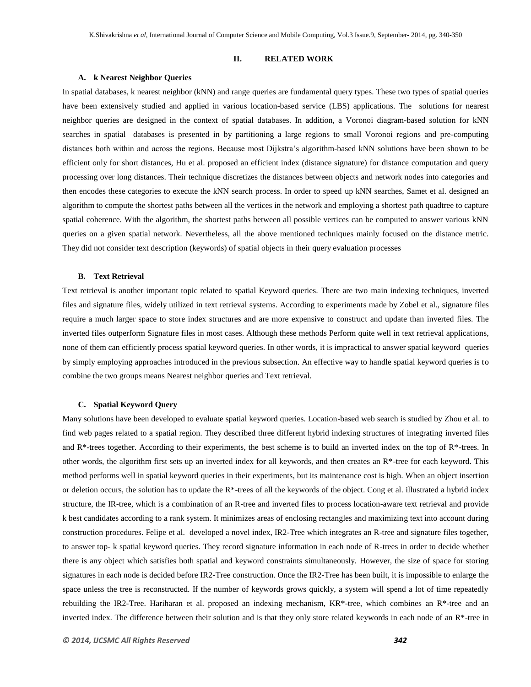#### **II. RELATED WORK**

## **A. k Nearest Neighbor Queries**

In spatial databases, k nearest neighbor (kNN) and range queries are fundamental query types. These two types of spatial queries have been extensively studied and applied in various location-based service (LBS) applications. The solutions for nearest neighbor queries are designed in the context of spatial databases. In addition, a Voronoi diagram-based solution for kNN searches in spatial databases is presented in by partitioning a large regions to small Voronoi regions and pre-computing distances both within and across the regions. Because most Dijkstra's algorithm-based kNN solutions have been shown to be efficient only for short distances, Hu et al. proposed an efficient index (distance signature) for distance computation and query processing over long distances. Their technique discretizes the distances between objects and network nodes into categories and then encodes these categories to execute the kNN search process. In order to speed up kNN searches, Samet et al. designed an algorithm to compute the shortest paths between all the vertices in the network and employing a shortest path quadtree to capture spatial coherence. With the algorithm, the shortest paths between all possible vertices can be computed to answer various kNN queries on a given spatial network. Nevertheless, all the above mentioned techniques mainly focused on the distance metric. They did not consider text description (keywords) of spatial objects in their query evaluation processes

## **B. Text Retrieval**

Text retrieval is another important topic related to spatial Keyword queries. There are two main indexing techniques, inverted files and signature files, widely utilized in text retrieval systems. According to experiments made by Zobel et al., signature files require a much larger space to store index structures and are more expensive to construct and update than inverted files. The inverted files outperform Signature files in most cases. Although these methods Perform quite well in text retrieval applications, none of them can efficiently process spatial keyword queries. In other words, it is impractical to answer spatial keyword queries by simply employing approaches introduced in the previous subsection. An effective way to handle spatial keyword queries is to combine the two groups means Nearest neighbor queries and Text retrieval.

## **C. Spatial Keyword Query**

Many solutions have been developed to evaluate spatial keyword queries. Location-based web search is studied by Zhou et al. to find web pages related to a spatial region. They described three different hybrid indexing structures of integrating inverted files and R\*-trees together. According to their experiments, the best scheme is to build an inverted index on the top of R\*-trees. In other words, the algorithm first sets up an inverted index for all keywords, and then creates an  $R^*$ -tree for each keyword. This method performs well in spatial keyword queries in their experiments, but its maintenance cost is high. When an object insertion or deletion occurs, the solution has to update the R\*-trees of all the keywords of the object. Cong et al. illustrated a hybrid index structure, the IR-tree, which is a combination of an R-tree and inverted files to process location-aware text retrieval and provide k best candidates according to a rank system. It minimizes areas of enclosing rectangles and maximizing text into account during construction procedures. Felipe et al. developed a novel index, IR2-Tree which integrates an R-tree and signature files together, to answer top- k spatial keyword queries. They record signature information in each node of R-trees in order to decide whether there is any object which satisfies both spatial and keyword constraints simultaneously. However, the size of space for storing signatures in each node is decided before IR2-Tree construction. Once the IR2-Tree has been built, it is impossible to enlarge the space unless the tree is reconstructed. If the number of keywords grows quickly, a system will spend a lot of time repeatedly rebuilding the IR2-Tree. Hariharan et al. proposed an indexing mechanism,  $KR*$ -tree, which combines an  $R*$ -tree and an inverted index. The difference between their solution and is that they only store related keywords in each node of an  $R^*$ -tree in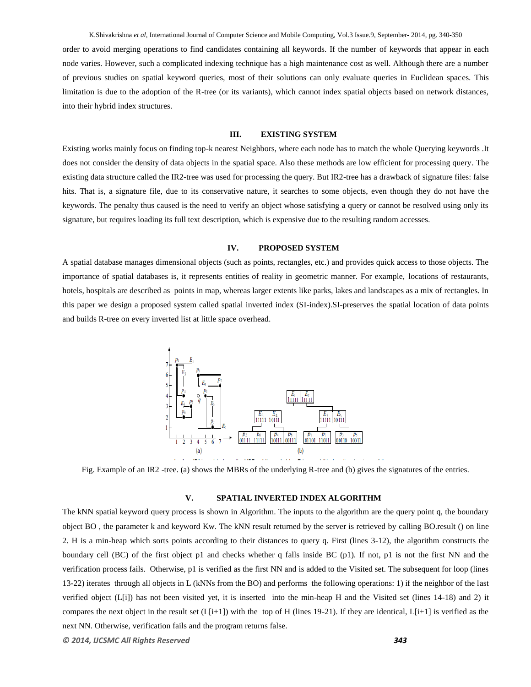K.Shivakrishna *et al*, International Journal of Computer Science and Mobile Computing, Vol.3 Issue.9, September- 2014, pg. 340-350

order to avoid merging operations to find candidates containing all keywords. If the number of keywords that appear in each node varies. However, such a complicated indexing technique has a high maintenance cost as well. Although there are a number of previous studies on spatial keyword queries, most of their solutions can only evaluate queries in Euclidean spaces. This limitation is due to the adoption of the R-tree (or its variants), which cannot index spatial objects based on network distances, into their hybrid index structures.

## **III. EXISTING SYSTEM**

Existing works mainly focus on finding top-k nearest Neighbors, where each node has to match the whole Querying keywords .It does not consider the density of data objects in the spatial space. Also these methods are low efficient for processing query. The existing data structure called the IR2-tree was used for processing the query. But IR2-tree has a drawback of signature files: false hits. That is, a signature file, due to its conservative nature, it searches to some objects, even though they do not have the keywords. The penalty thus caused is the need to verify an object whose satisfying a query or cannot be resolved using only its signature, but requires loading its full text description, which is expensive due to the resulting random accesses.

## **IV. PROPOSED SYSTEM**

A spatial database manages dimensional objects (such as points, rectangles, etc.) and provides quick access to those objects. The importance of spatial databases is, it represents entities of reality in geometric manner. For example, locations of restaurants, hotels, hospitals are described as points in map, whereas larger extents like parks, lakes and landscapes as a mix of rectangles. In this paper we design a proposed system called spatial inverted index (SI-index).SI-preserves the spatial location of data points and builds R-tree on every inverted list at little space overhead.



Fig. Example of an IR2 -tree. (a) shows the MBRs of the underlying R-tree and (b) gives the signatures of the entries.

## **V. SPATIAL INVERTED INDEX ALGORITHM**

The kNN spatial keyword query process is shown in Algorithm. The inputs to the algorithm are the query point q, the boundary object BO , the parameter k and keyword Kw. The kNN result returned by the server is retrieved by calling BO.result () on line 2. H is a min-heap which sorts points according to their distances to query q. First (lines 3-12), the algorithm constructs the boundary cell (BC) of the first object p1 and checks whether q falls inside BC (p1). If not, p1 is not the first NN and the verification process fails. Otherwise, p1 is verified as the first NN and is added to the Visited set. The subsequent for loop (lines 13-22) iterates through all objects in L (kNNs from the BO) and performs the following operations: 1) if the neighbor of the last verified object (L[i]) has not been visited yet, it is inserted into the min-heap H and the Visited set (lines 14-18) and 2) it compares the next object in the result set  $(L[i+1])$  with the top of H (lines 19-21). If they are identical,  $L[i+1]$  is verified as the next NN. Otherwise, verification fails and the program returns false.

*© 2014, IJCSMC All Rights Reserved 343*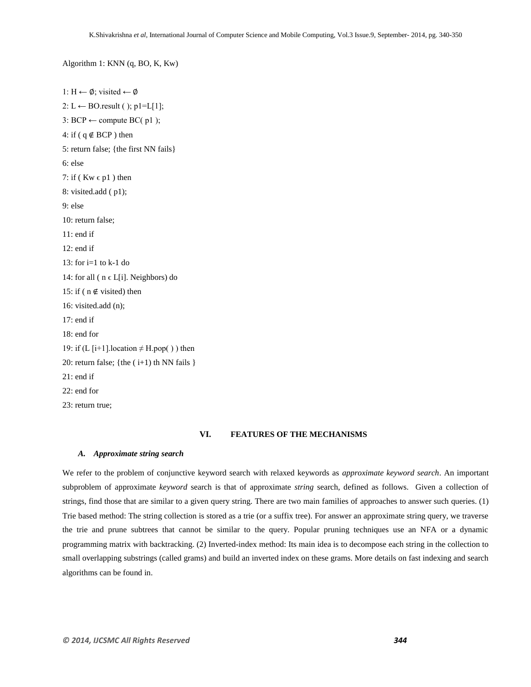Algorithm 1: KNN (q, BO, K, Kw)

```
1: H \leftarrow \emptyset; visited \leftarrow \emptyset2: L ← BO.result ( ); p1=L[1];
3: BCP \leftarrow compute BC( p1);
4: if ( q \notin BCP ) then
5: return false; {the first NN fails}
6: else 
7: if (Kw \in p1) then
8: visited.add ( p1);
9: else
10: return false;
11: end if
12: end if
13: for i=1 to k-1 do
14: for all (n \in L[i]. Neighbors) do
15: if ( n \notin visited) then
16: visited.add (n);
17: end if
18: end for
19: if (L [i+1].location \neq H.pop()) then
20: return false; {the (i+1) th NN fails }
21: end if
22: end for
23: return true;
```
## **VI. FEATURES OF THE MECHANISMS**

## *A. Approximate string search*

We refer to the problem of conjunctive keyword search with relaxed keywords as *approximate keyword search*. An important subproblem of approximate *keyword* search is that of approximate *string* search, defined as follows. Given a collection of strings, find those that are similar to a given query string. There are two main families of approaches to answer such queries. (1) Trie based method: The string collection is stored as a trie (or a suffix tree). For answer an approximate string query, we traverse the trie and prune subtrees that cannot be similar to the query. Popular pruning techniques use an NFA or a dynamic programming matrix with backtracking. (2) Inverted-index method: Its main idea is to decompose each string in the collection to small overlapping substrings (called grams) and build an inverted index on these grams. More details on fast indexing and search algorithms can be found in.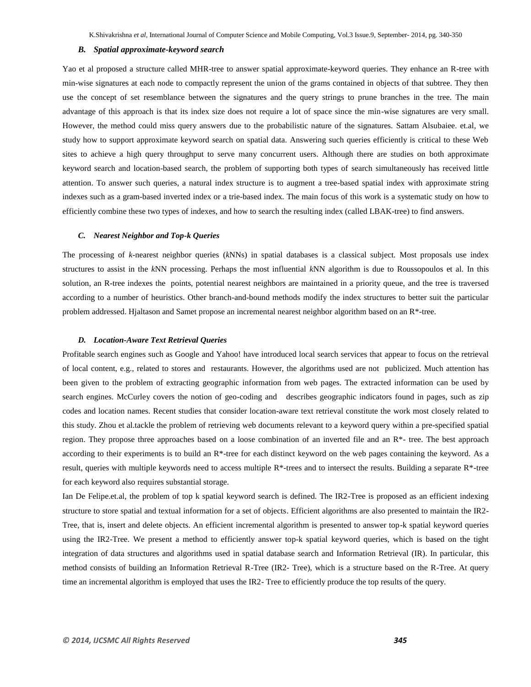#### *B. Spatial approximate-keyword search*

Yao et al proposed a structure called MHR-tree to answer spatial approximate-keyword queries. They enhance an R-tree with min-wise signatures at each node to compactly represent the union of the grams contained in objects of that subtree. They then use the concept of set resemblance between the signatures and the query strings to prune branches in the tree. The main advantage of this approach is that its index size does not require a lot of space since the min-wise signatures are very small. However, the method could miss query answers due to the probabilistic nature of the signatures. Sattam Alsubaiee. et.al, we study how to support approximate keyword search on spatial data. Answering such queries efficiently is critical to these Web sites to achieve a high query throughput to serve many concurrent users. Although there are studies on both approximate keyword search and location-based search, the problem of supporting both types of search simultaneously has received little attention. To answer such queries, a natural index structure is to augment a tree-based spatial index with approximate string indexes such as a gram-based inverted index or a trie-based index. The main focus of this work is a systematic study on how to efficiently combine these two types of indexes, and how to search the resulting index (called LBAK-tree) to find answers.

#### *C. Nearest Neighbor and Top-k Queries*

The processing of *k*-nearest neighbor queries (*k*NNs) in spatial databases is a classical subject. Most proposals use index structures to assist in the *k*NN processing. Perhaps the most influential *k*NN algorithm is due to Roussopoulos et al. In this solution, an R-tree indexes the points, potential nearest neighbors are maintained in a priority queue, and the tree is traversed according to a number of heuristics. Other branch-and-bound methods modify the index structures to better suit the particular problem addressed. Hjaltason and Samet propose an incremental nearest neighbor algorithm based on an R\*-tree.

#### *D. Location-Aware Text Retrieval Queries*

Profitable search engines such as Google and Yahoo! have introduced local search services that appear to focus on the retrieval of local content, e.g., related to stores and restaurants. However, the algorithms used are not publicized. Much attention has been given to the problem of extracting geographic information from web pages. The extracted information can be used by search engines. McCurley covers the notion of geo-coding and describes geographic indicators found in pages, such as zip codes and location names. Recent studies that consider location-aware text retrieval constitute the work most closely related to this study. Zhou et al.tackle the problem of retrieving web documents relevant to a keyword query within a pre-specified spatial region. They propose three approaches based on a loose combination of an inverted file and an  $R^*$ - tree. The best approach according to their experiments is to build an  $R^*$ -tree for each distinct keyword on the web pages containing the keyword. As a result, queries with multiple keywords need to access multiple R\*-trees and to intersect the results. Building a separate R\*-tree for each keyword also requires substantial storage.

Ian De Felipe.et.al, the problem of top k spatial keyword search is defined. The IR2-Tree is proposed as an efficient indexing structure to store spatial and textual information for a set of objects. Efficient algorithms are also presented to maintain the IR2- Tree, that is, insert and delete objects. An efficient incremental algorithm is presented to answer top-k spatial keyword queries using the IR2-Tree. We present a method to efficiently answer top-k spatial keyword queries, which is based on the tight integration of data structures and algorithms used in spatial database search and Information Retrieval (IR). In particular, this method consists of building an Information Retrieval R-Tree (IR2- Tree), which is a structure based on the R-Tree. At query time an incremental algorithm is employed that uses the IR2- Tree to efficiently produce the top results of the query.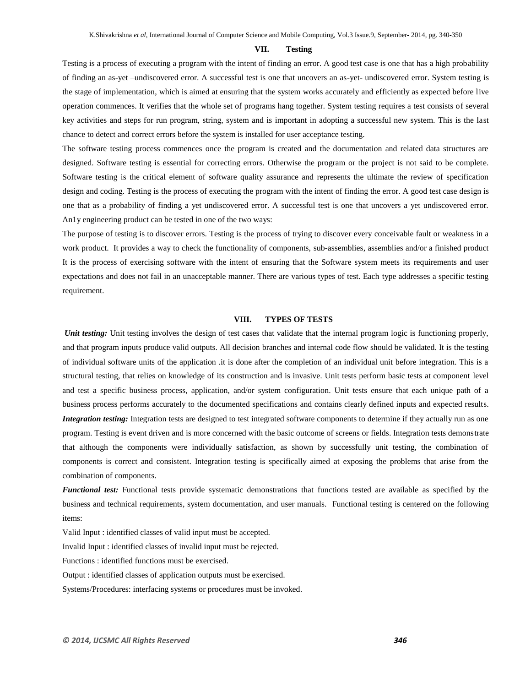## **VII. Testing**

Testing is a process of executing a program with the intent of finding an error. A good test case is one that has a high probability of finding an as-yet –undiscovered error. A successful test is one that uncovers an as-yet- undiscovered error. System testing is the stage of implementation, which is aimed at ensuring that the system works accurately and efficiently as expected before live operation commences. It verifies that the whole set of programs hang together. System testing requires a test consists of several key activities and steps for run program, string, system and is important in adopting a successful new system. This is the last chance to detect and correct errors before the system is installed for user acceptance testing.

The software testing process commences once the program is created and the documentation and related data structures are designed. Software testing is essential for correcting errors. Otherwise the program or the project is not said to be complete. Software testing is the critical element of software quality assurance and represents the ultimate the review of specification design and coding. Testing is the process of executing the program with the intent of finding the error. A good test case design is one that as a probability of finding a yet undiscovered error. A successful test is one that uncovers a yet undiscovered error. An1y engineering product can be tested in one of the two ways:

The purpose of testing is to discover errors. Testing is the process of trying to discover every conceivable fault or weakness in a work product. It provides a way to check the functionality of components, sub-assemblies, assemblies and/or a finished product It is the process of exercising software with the intent of ensuring that the Software system meets its requirements and user expectations and does not fail in an unacceptable manner. There are various types of test. Each type addresses a specific testing requirement.

## **VIII. TYPES OF TESTS**

*Unit testing:* Unit testing involves the design of test cases that validate that the internal program logic is functioning properly, and that program inputs produce valid outputs. All decision branches and internal code flow should be validated. It is the testing of individual software units of the application .it is done after the completion of an individual unit before integration. This is a structural testing, that relies on knowledge of its construction and is invasive. Unit tests perform basic tests at component level and test a specific business process, application, and/or system configuration. Unit tests ensure that each unique path of a business process performs accurately to the documented specifications and contains clearly defined inputs and expected results. *Integration testing:* Integration tests are designed to test integrated software components to determine if they actually run as one program. Testing is event driven and is more concerned with the basic outcome of screens or fields. Integration tests demonstrate that although the components were individually satisfaction, as shown by successfully unit testing, the combination of components is correct and consistent. Integration testing is specifically aimed at exposing the problems that arise from the combination of components.

*Functional test:* Functional tests provide systematic demonstrations that functions tested are available as specified by the business and technical requirements, system documentation, and user manuals. Functional testing is centered on the following items:

Valid Input : identified classes of valid input must be accepted.

Invalid Input : identified classes of invalid input must be rejected.

Functions : identified functions must be exercised.

Output : identified classes of application outputs must be exercised.

Systems/Procedures: interfacing systems or procedures must be invoked.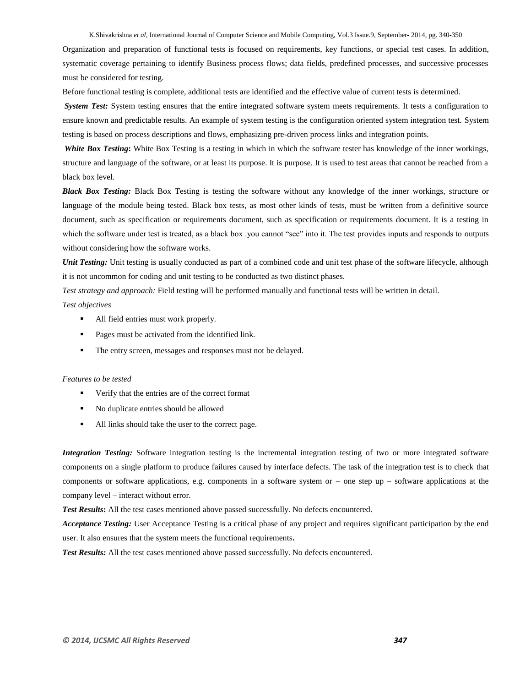Organization and preparation of functional tests is focused on requirements, key functions, or special test cases. In addition, systematic coverage pertaining to identify Business process flows; data fields, predefined processes, and successive processes must be considered for testing.

Before functional testing is complete, additional tests are identified and the effective value of current tests is determined.

*System Test:* System testing ensures that the entire integrated software system meets requirements. It tests a configuration to ensure known and predictable results. An example of system testing is the configuration oriented system integration test. System testing is based on process descriptions and flows, emphasizing pre-driven process links and integration points.

*White Box Testing***:** White Box Testing is a testing in which in which the software tester has knowledge of the inner workings, structure and language of the software, or at least its purpose. It is purpose. It is used to test areas that cannot be reached from a black box level.

*Black Box Testing:* Black Box Testing is testing the software without any knowledge of the inner workings, structure or language of the module being tested. Black box tests, as most other kinds of tests, must be written from a definitive source document, such as specification or requirements document, such as specification or requirements document. It is a testing in which the software under test is treated, as a black box .you cannot "see" into it. The test provides inputs and responds to outputs without considering how the software works.

*Unit Testing:* Unit testing is usually conducted as part of a combined code and unit test phase of the software lifecycle, although it is not uncommon for coding and unit testing to be conducted as two distinct phases.

*Test strategy and approach:* Field testing will be performed manually and functional tests will be written in detail. *Test objectives* 

- All field entries must work properly.
- **Pages must be activated from the identified link.**
- The entry screen, messages and responses must not be delayed.

#### *Features to be tested*

- Verify that the entries are of the correct format
- No duplicate entries should be allowed
- All links should take the user to the correct page.

*Integration Testing:* Software integration testing is the incremental integration testing of two or more integrated software components on a single platform to produce failures caused by interface defects. The task of the integration test is to check that components or software applications, e.g. components in a software system or – one step up – software applications at the company level – interact without error.

*Test Results***:** All the test cases mentioned above passed successfully. No defects encountered.

*Acceptance Testing:* User Acceptance Testing is a critical phase of any project and requires significant participation by the end user. It also ensures that the system meets the functional requirements**.** 

*Test Results:* All the test cases mentioned above passed successfully. No defects encountered.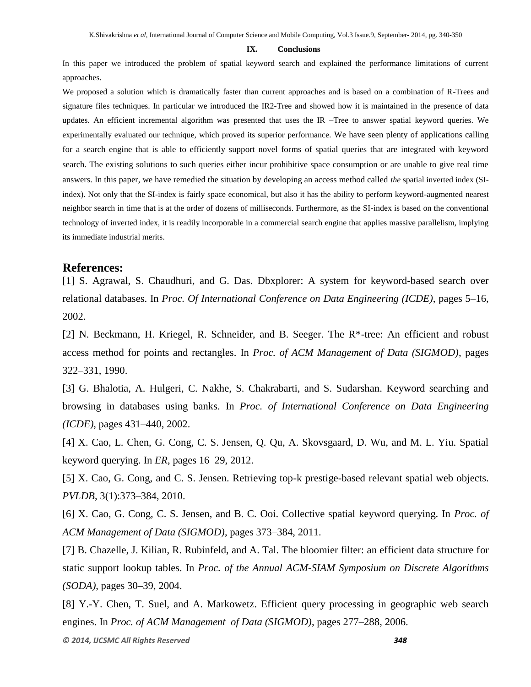## **IX. Conclusions**

In this paper we introduced the problem of spatial keyword search and explained the performance limitations of current approaches.

We proposed a solution which is dramatically faster than current approaches and is based on a combination of R-Trees and signature files techniques. In particular we introduced the IR2-Tree and showed how it is maintained in the presence of data updates. An efficient incremental algorithm was presented that uses the IR –Tree to answer spatial keyword queries. We experimentally evaluated our technique, which proved its superior performance. We have seen plenty of applications calling for a search engine that is able to efficiently support novel forms of spatial queries that are integrated with keyword search. The existing solutions to such queries either incur prohibitive space consumption or are unable to give real time answers. In this paper, we have remedied the situation by developing an access method called *the* spatial inverted index (SIindex). Not only that the SI-index is fairly space economical, but also it has the ability to perform keyword-augmented nearest neighbor search in time that is at the order of dozens of milliseconds. Furthermore, as the SI-index is based on the conventional technology of inverted index, it is readily incorporable in a commercial search engine that applies massive parallelism, implying its immediate industrial merits.

## **References:**

[1] S. Agrawal, S. Chaudhuri, and G. Das. Dbxplorer: A system for keyword-based search over relational databases. In *Proc. Of International Conference on Data Engineering (ICDE)*, pages 5–16, 2002.

[2] N. Beckmann, H. Kriegel, R. Schneider, and B. Seeger. The R\*-tree: An efficient and robust access method for points and rectangles. In *Proc. of ACM Management of Data (SIGMOD)*, pages 322–331, 1990.

[3] G. Bhalotia, A. Hulgeri, C. Nakhe, S. Chakrabarti, and S. Sudarshan. Keyword searching and browsing in databases using banks. In *Proc. of International Conference on Data Engineering (ICDE)*, pages 431–440, 2002.

[4] X. Cao, L. Chen, G. Cong, C. S. Jensen, Q. Qu, A. Skovsgaard, D. Wu, and M. L. Yiu. Spatial keyword querying. In *ER*, pages 16–29, 2012.

[5] X. Cao, G. Cong, and C. S. Jensen. Retrieving top-k prestige-based relevant spatial web objects. *PVLDB*, 3(1):373–384, 2010.

[6] X. Cao, G. Cong, C. S. Jensen, and B. C. Ooi. Collective spatial keyword querying. In *Proc. of ACM Management of Data (SIGMOD)*, pages 373–384, 2011.

[7] B. Chazelle, J. Kilian, R. Rubinfeld, and A. Tal. The bloomier filter: an efficient data structure for static support lookup tables. In *Proc. of the Annual ACM-SIAM Symposium on Discrete Algorithms (SODA)*, pages 30–39, 2004.

[8] Y.-Y. Chen, T. Suel, and A. Markowetz. Efficient query processing in geographic web search engines. In *Proc. of ACM Management of Data (SIGMOD)*, pages 277–288, 2006.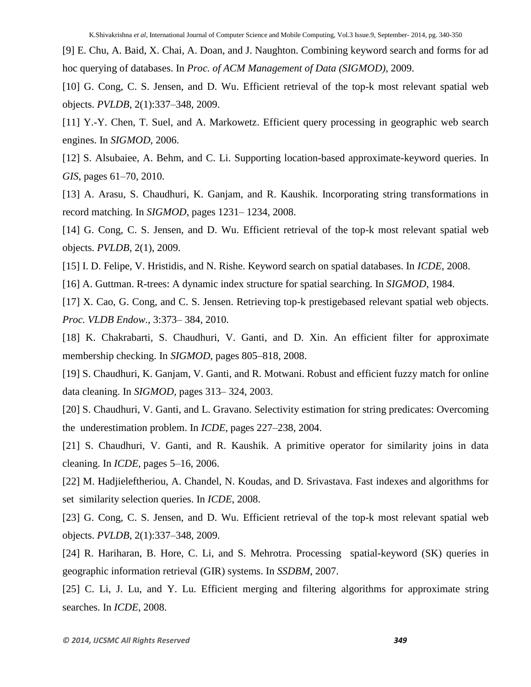[9] E. Chu, A. Baid, X. Chai, A. Doan, and J. Naughton. Combining keyword search and forms for ad hoc querying of databases. In *Proc. of ACM Management of Data (SIGMOD)*, 2009.

[10] G. Cong, C. S. Jensen, and D. Wu. Efficient retrieval of the top-k most relevant spatial web objects. *PVLDB*, 2(1):337–348, 2009.

[11] Y.-Y. Chen, T. Suel, and A. Markowetz. Efficient query processing in geographic web search engines. In *SIGMOD*, 2006.

[12] S. Alsubaiee, A. Behm, and C. Li. Supporting location-based approximate-keyword queries. In *GIS*, pages 61–70, 2010.

[13] A. Arasu, S. Chaudhuri, K. Ganjam, and R. Kaushik. Incorporating string transformations in record matching. In *SIGMOD*, pages 1231– 1234, 2008.

[14] G. Cong, C. S. Jensen, and D. Wu. Efficient retrieval of the top-k most relevant spatial web objects. *PVLDB*, 2(1), 2009.

[15] I. D. Felipe, V. Hristidis, and N. Rishe. Keyword search on spatial databases. In *ICDE*, 2008.

[16] A. Guttman. R-trees: A dynamic index structure for spatial searching. In *SIGMOD*, 1984.

[17] X. Cao, G. Cong, and C. S. Jensen. Retrieving top-k prestigebased relevant spatial web objects. *Proc. VLDB Endow.*, 3:373– 384, 2010.

[18] K. Chakrabarti, S. Chaudhuri, V. Ganti, and D. Xin. An efficient filter for approximate membership checking. In *SIGMOD*, pages 805–818, 2008.

[19] S. Chaudhuri, K. Ganjam, V. Ganti, and R. Motwani. Robust and efficient fuzzy match for online data cleaning. In *SIGMOD*, pages 313– 324, 2003.

[20] S. Chaudhuri, V. Ganti, and L. Gravano. Selectivity estimation for string predicates: Overcoming the underestimation problem. In *ICDE*, pages 227–238, 2004.

[21] S. Chaudhuri, V. Ganti, and R. Kaushik. A primitive operator for similarity joins in data cleaning. In *ICDE*, pages 5–16, 2006.

[22] M. Hadjieleftheriou, A. Chandel, N. Koudas, and D. Srivastava. Fast indexes and algorithms for set similarity selection queries. In *ICDE*, 2008.

[23] G. Cong, C. S. Jensen, and D. Wu. Efficient retrieval of the top-k most relevant spatial web objects. *PVLDB*, 2(1):337–348, 2009.

[24] R. Hariharan, B. Hore, C. Li, and S. Mehrotra. Processing spatial-keyword (SK) queries in geographic information retrieval (GIR) systems. In *SSDBM*, 2007.

[25] C. Li, J. Lu, and Y. Lu. Efficient merging and filtering algorithms for approximate string searches. In *ICDE*, 2008.